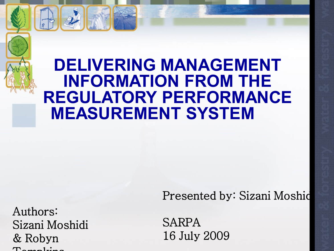#### **DELIVERING MANAGEMENT INFORMATION FROM THE REGULATORY PERFORMANCE MEASUREMENT SYSTEM**

Authors: Sizani Moshidi & Robyn  $\Gamma$ ompkins

Presented by: Sizani Moshid

SARPA 16 July 2009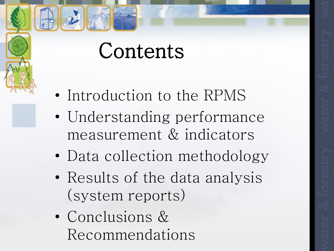## Contents

- Introduction to the RPMS
- Understanding performance measurement & indicators
- Data collection methodology
- Results of the data analysis (system reports)
- Conclusions & Recommendations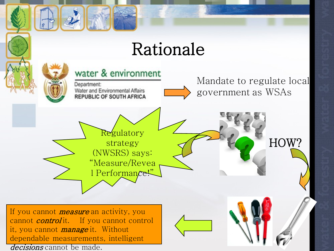#### Rationale

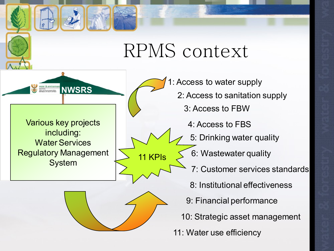#### RPMS context

Various key projects including: Water Services Regulatory Management System  $\sim$  11 KPIs

WATER & <u>Environment</u><br> **NWSRS** 



1: Access to water supply 2: Access to sanitation supply 3: Access to FBW 4: Access to FBS 5: Drinking water quality 6: Wastewater quality 7: Customer services standards 8: Institutional effectiveness 9: Financial performance 10: Strategic asset management 11: Water use efficiency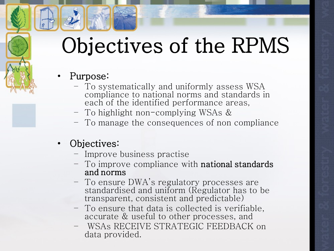## Objectives of the RPMS

- Purpose:
	- To systematically and uniformly assess WSA compliance to national norms and standards in each of the identified performance areas,
	- To highlight non-complying WSAs &
	- To manage the consequences of non compliance
- Objectives:
	- Improve business practise
	- To improve compliance with national standards and norms
	- To ensure DWA's regulatory processes are standardised and uniform (Regulator has to be transparent, consistent and predictable)
	- To ensure that data is collected is verifiable, accurate & useful to other processes, and
	- WSAs RECEIVE STRATEGIC FEEDBACK on data provided.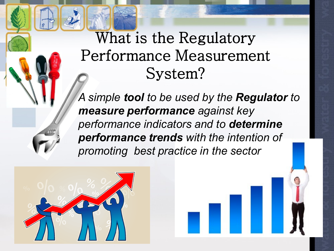#### What is the Regulatory Performance Measurement System?

*A simple tool to be used by the Regulator to measure performance against key performance indicators and to determine performance trends with the intention of promoting best practice in the sector*

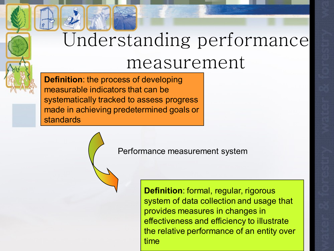## Understanding performance measurement

**Definition**: the process of developing measurable indicators that can be systematically tracked to assess progress made in achieving predetermined goals or standards

Performance measurement system

**Definition**: formal, regular, rigorous system of data collection and usage that provides measures in changes in effectiveness and efficiency to illustrate the relative performance of an entity over time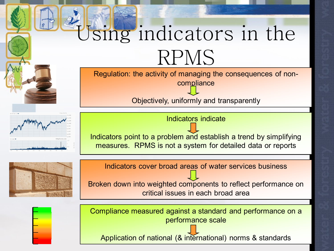# Using indicators in the RPMS

Regulation: the activity of managing the consequences of noncompliance

Objectively, uniformly and transparently

Indicators indicate

Indicators point to a problem and establish a trend by simplifying measures. RPMS is not a system for detailed data or reports

Indicators cover broad areas of water services business

Broken down into weighted components to reflect performance on critical issues in each broad area



Compliance measured against a standard and performance on a performance scale

Application of national (& international) norms & standards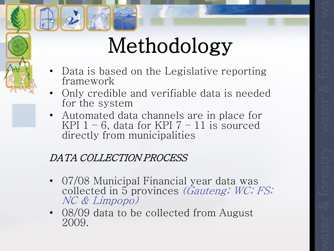## Methodology

- Data is based on the Legislative reporting framework
- Only credible and verifiable data is needed for the system
- Automated data channels are in place for KPI  $1 - 6$ , data for KPI  $7 - 11$  is sourced directly from municipalities

#### DATA COLLECTION PROCESS

- 07/08 Municipal Financial year data was collected in 5 provinces *(Gauteng; WC; FS;* NC & Limpopo)
- 08/09 data to be collected from August 2009.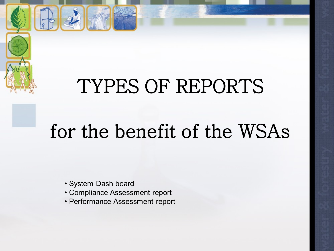### TYPES OF REPORTS

## for the benefit of the WSAs

• System Dash board

- Compliance Assessment report
- Performance Assessment report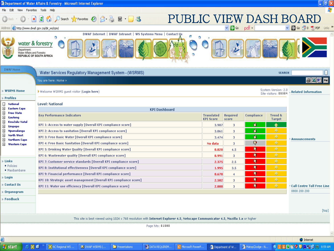|                                                                                                         | <sup>2</sup> Department of Water Affairs & Forestry - Microsoft Internet Explorer |                                                                                                                                          |               |                                                              |                            |                                       |                          |                   |                                             | 归区<br>н.                              |
|---------------------------------------------------------------------------------------------------------|-----------------------------------------------------------------------------------|------------------------------------------------------------------------------------------------------------------------------------------|---------------|--------------------------------------------------------------|----------------------------|---------------------------------------|--------------------------|-------------------|---------------------------------------------|---------------------------------------|
| File<br>Edit                                                                                            | View Favorites Tools Help                                                         |                                                                                                                                          |               |                                                              |                            |                                       |                          |                   |                                             |                                       |
|                                                                                                         | $\bullet$                                                                         |                                                                                                                                          |               |                                                              | <b>PUBLIC VIEW DASH BC</b> |                                       |                          |                   |                                             |                                       |
| Address <b>&amp; http://www.dwaf.gov.za/dir_ws/rpm/</b>                                                 |                                                                                   |                                                                                                                                          |               |                                                              |                            |                                       | $\vee$ $\rightarrow$ Go  | pdf -             |                                             | $Links$ $\rightarrow$<br>$P$ to $P$ 0 |
|                                                                                                         |                                                                                   |                                                                                                                                          |               | DWAF Internet   DWAF Intranet   WS Systems Menu   Contact Us |                            |                                       |                          |                   |                                             |                                       |
| water & forestry<br>Department:<br><b>Nater Affairs and Forestry</b><br><b>REPUBLIC OF SOUTH AFRICA</b> | G                                                                                 |                                                                                                                                          |               |                                                              | ٥                          |                                       |                          |                   |                                             |                                       |
| <b>DWAF Home</b>                                                                                        | Water Services Regulatory Management System - (WSRMS)                             |                                                                                                                                          |               |                                                              |                            |                                       |                          |                   | <b>SEARCH</b>                               |                                       |
|                                                                                                         | You are here: Home »                                                              |                                                                                                                                          |               |                                                              |                            |                                       |                          |                   |                                             | 8 X 5                                 |
| <b>WSRMS Home</b>                                                                                       | ▶ Welcome WSRMS guest visitor (Login here)                                        |                                                                                                                                          |               |                                                              |                            |                                       |                          |                   | System Version: 2.0<br>Site visitors: 05354 | Related Information                   |
| » Profiles                                                                                              |                                                                                   |                                                                                                                                          |               |                                                              |                            |                                       |                          |                   |                                             |                                       |
| $\overline{\phantom{a}}$<br><b>National</b><br>⊞<br>Eastern Cape                                        | <b>Level: National</b>                                                            |                                                                                                                                          |               |                                                              |                            |                                       |                          |                   |                                             |                                       |
| $+$<br><b>Free State</b><br>$+$<br>Gauteng                                                              | <b>KPI Dashboard</b><br><b>Key Performance Indicators</b>                         |                                                                                                                                          |               |                                                              |                            | <b>Translated</b><br><b>KPI Score</b> | <b>Required</b><br>score | <b>Compliance</b> | <b>Trend &amp;</b><br><b>Target</b>         |                                       |
| ⊞<br>KwaZulu-Natal<br>$+$<br>Limpopo                                                                    | KPI 1: Access to water supply [Overall KPI compliance score]                      |                                                                                                                                          |               |                                                              |                            | 3.987                                 | 3                        | F)                |                                             |                                       |
| $\overline{+}$<br>Mpumalanga                                                                            | KPI 2: Access to sanitation [Overall KPI compliance score]                        |                                                                                                                                          |               |                                                              |                            | 3.061                                 | 3                        | Ď                 |                                             |                                       |
| ⊞<br>North West<br>$+$<br>Northern Cape                                                                 | KPI 3: Free Basic Water [Overall KPI compliance score]                            |                                                                                                                                          |               |                                                              |                            |                                       | $\overline{3}$           | ₿                 | D                                           | * Announcements                       |
| ⊞<br><b>Western Cape</b>                                                                                | <b>KPI 4: Free Basic Sanitation [Overall KPI compliance score]</b>                |                                                                                                                                          |               |                                                              |                            |                                       | 3                        | 9                 |                                             |                                       |
|                                                                                                         | KPI 5: Drinking Water Quality [Overall KPI compliance score]                      |                                                                                                                                          |               |                                                              |                            |                                       | 4.5                      | 9                 |                                             |                                       |
|                                                                                                         | KPI 6: Wastewater quality [Overall KPI compliance score]                          |                                                                                                                                          |               |                                                              |                            |                                       | -3                       | 9                 | $\Rightarrow$                               |                                       |
| » Links                                                                                                 | KPI 7: Customer service standards [Overall KPI compliance score]                  |                                                                                                                                          |               |                                                              |                            | 2.375                                 | 2.5                      | Ð                 | ₽                                           |                                       |
| • Policies<br>• Masibambane                                                                             | KPI 8: Institutional effectiveness [Overall KPI compliance score]                 |                                                                                                                                          |               |                                                              |                            | 1.995                                 | 3.5                      | ŋ                 | ₿                                           |                                       |
|                                                                                                         | KPI 9: Financial performance [Overall KPI compliance score]                       |                                                                                                                                          |               |                                                              |                            | 0.678                                 | $\overline{4}$           |                   | $\Rightarrow$                               |                                       |
| » Login                                                                                                 | KPI 10: Strategic asset management [Overall KPI compliance score]                 |                                                                                                                                          |               |                                                              |                            | 2.502                                 | 3                        |                   |                                             |                                       |
| » Contact Us                                                                                            | KPI 11: Water use efficiency [Overall KPI compliance score]                       |                                                                                                                                          |               |                                                              |                            | 2.000                                 | 3                        |                   |                                             | <b>Call Centre Toll Free Line</b>     |
| $\boldsymbol{\gg}$ Organogram                                                                           |                                                                                   |                                                                                                                                          |               |                                                              |                            |                                       |                          |                   |                                             | 0800 200 200                          |
| » Feedback                                                                                              |                                                                                   |                                                                                                                                          |               |                                                              |                            |                                       |                          |                   |                                             |                                       |
|                                                                                                         |                                                                                   |                                                                                                                                          |               |                                                              |                            |                                       |                          |                   |                                             |                                       |
|                                                                                                         |                                                                                   |                                                                                                                                          |               |                                                              |                            |                                       |                          |                   |                                             | [top]                                 |
|                                                                                                         |                                                                                   | This site is best viewed using 1024 $\times$ 768 resolution with Internet Explorer 4.5, Netscape Communicator 4.5, Mozilla 1.x or higher |               |                                                              |                            |                                       |                          |                   |                                             |                                       |
|                                                                                                         |                                                                                   |                                                                                                                                          |               | Page hits: 01080                                             |                            |                                       |                          |                   |                                             |                                       |
| ë                                                                                                       |                                                                                   |                                                                                                                                          |               |                                                              |                            |                                       |                          |                   |                                             | <b>O</b> Internet                     |
| <b>H</b> start                                                                                          | <b>○ © © &gt; ©</b> NC Regional WS                                                | <b>M</b> DWAF WSRMS (                                                                                                                    | Presentations | DATA REQUIREM.                                               | <b>B</b> Microsoft PowerP  | Department of W.                      |                          | A MatopDodge: N., |                                             | <b>ICHO HIGHLO 8:59 AM</b>            |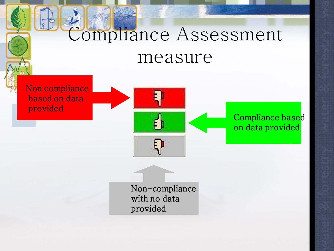## Compliance Assessment measure

Non compliance based on data provided



Compliance based on data provided

Non-compliance with no data provided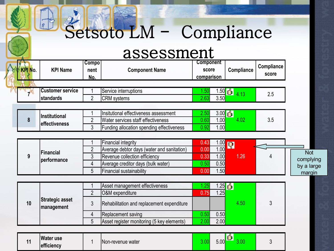#### Setsoto LM - Compliance

#### assessment

| <b>KPI No.</b> | <b>KPI Name</b>                             | <b>Compo</b><br>nent<br>No. | <b>Component</b><br><b>Component Name</b><br>score<br>comparison    |                      | Compliance                                  | Compliance<br>score |                         |
|----------------|---------------------------------------------|-----------------------------|---------------------------------------------------------------------|----------------------|---------------------------------------------|---------------------|-------------------------|
|                | <b>Customer service</b><br><b>standards</b> | $\overline{2}$              | Service interruptions<br><b>CRM</b> systems                         | 1.50<br>2.63         | <u>1.50 <mark>ப</mark>ி</u><br>4.13<br>3.50 | 2.5                 |                         |
|                |                                             |                             | Insitutional effectiveness assessment                               | 2.50                 |                                             |                     |                         |
| 8              | Institutional<br>effectiveness              | $\overline{2}$              | Water services staff effectiveness                                  | 0.60                 | <u>3.00 பூ</u><br>4.02<br>1.00              | 3.5                 |                         |
|                |                                             | 3                           | Funding allocation spending effectiveness                           | 0.92                 | 1.00                                        |                     |                         |
|                |                                             | $\overline{2}$              | Financial integrity<br>Average debtor days (water and sanitation)   | 0.43<br>1.00<br>0.00 | 1.00<br>57                                  |                     |                         |
| 9              | <b>Financial</b><br>performance             | 3<br>4                      | Revenue collection efficiency<br>Average creditor days (bulk water) | 0.33<br>0.50<br>0.50 | 1.26<br>1.00                                | 4                   | <b>Not</b><br>complying |
|                |                                             | 5                           | Financial sustainability                                            | 0.00                 | 1.50                                        |                     | by a large<br>margin    |
|                |                                             |                             | Asset management effectiveness                                      | 1.25                 | <u> .25 தி</u>                              |                     |                         |
|                | <b>Strategic asset</b>                      | $\overline{2}$              | O&M expenditure                                                     | 0.75                 | 1.25                                        |                     |                         |
| 10             | management                                  | 3<br>$\overline{4}$         | Rehabilitation and replacement expenditure<br>Replacement saving    | 0.50<br>0.50         | 4.50                                        | 3                   |                         |
|                |                                             | 5                           | Asset register monitoring (5 key elements)                          | 2.00<br>2.00         |                                             |                     |                         |
| 11             | <b>Water use</b><br>efficiency              |                             | Non-revenue water                                                   | 3.00<br>5.00         | 酌<br>3.00                                   | 3                   |                         |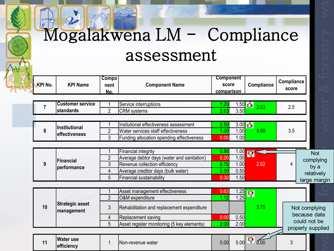### Mogalakwena LM - Compliance assessment

| <b>KPI No.</b><br><b>KPI Name</b> |                                      | Compo<br>nent<br>No. | <b>Component Name</b>                       | <b>Component</b><br>score<br>comparison |           | Compliance              | Compliance<br>score |                   |  |
|-----------------------------------|--------------------------------------|----------------------|---------------------------------------------|-----------------------------------------|-----------|-------------------------|---------------------|-------------------|--|
| 7                                 | <b>Customer service</b><br>standards | $\overline{2}$       | Service interruptions<br><b>CRM</b> systems | 1.20<br>2.63                            | 3.50      | $1.50$ $6$ $3.83$       | 2.5                 |                   |  |
|                                   |                                      |                      |                                             |                                         |           |                         |                     |                   |  |
|                                   | Institutional                        |                      | Insitutional effectiveness assessment       | 2.50                                    | $3.00$ பி |                         |                     |                   |  |
| 8                                 | effectiveness                        | $\overline{2}$       | Water services staff effectiveness          | 1.00                                    | 1.00      | 3.50                    | 3.5                 |                   |  |
|                                   |                                      | 3                    | Funding allocation spending effectiveness   | 0.00                                    | 1.00      |                         |                     |                   |  |
|                                   |                                      |                      |                                             |                                         |           |                         |                     |                   |  |
|                                   | <b>Financial</b><br>performance      |                      | Financial integrity                         | 0.86                                    | 1.00      | P                       |                     | <b>Not</b>        |  |
|                                   |                                      | $\overline{2}$       | Average debtor days (water and sanitation)  | 0.20                                    | 1.00      |                         |                     | complying         |  |
| 9                                 |                                      | 3                    | Revenue collection efficiency               | 0.76                                    | 1.00      | 2.62                    | 4                   | by a              |  |
|                                   |                                      | $\overline{4}$       | Average creditor days (bulk water)          | 0.50                                    | 0.50      |                         |                     | relatively        |  |
|                                   |                                      | 5                    | Financial sustainability                    | 0.30                                    | 1.50      |                         |                     | large margin      |  |
|                                   |                                      |                      |                                             |                                         |           |                         |                     |                   |  |
|                                   |                                      |                      | Asset management effectiveness              | 0.63                                    | 1.25      | $\overline{\mathbf{P}}$ |                     |                   |  |
|                                   |                                      | $\overline{2}$       | O&M expenditure                             | 1.12                                    | 1.25      |                         |                     |                   |  |
| 10                                | <b>Strategic asset</b><br>management | 3                    | Rehabilitation and replacement expenditure  |                                         |           | 3.75                    |                     | Not complying     |  |
|                                   |                                      | 4                    | Replacement saving                          | 0.00                                    | 0.50      |                         |                     | because data      |  |
|                                   |                                      | 5                    | Asset register monitoring (5 key elements)  | 2.00                                    | 2.00      |                         |                     | could not be      |  |
|                                   |                                      |                      |                                             |                                         |           |                         |                     | properly supplied |  |
| 11                                | <b>Water use</b><br>efficiency       | 1                    | Non-revenue water                           | 0.00                                    | 5.00      | Q,<br>0.00              | 3                   |                   |  |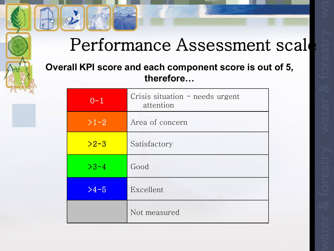#### Performance Assessment scal

#### **Overall KPI score and each component score is out of 5, therefore…**

| $0 - 1$ | Crisis situation $-$ needs urgent<br>attention |
|---------|------------------------------------------------|
| $>1-2$  | Area of concern                                |
| $>2-3$  | Satisfactory                                   |
| $>3-4$  | Good                                           |
| $>4-5$  | Excellent                                      |
|         | Not measured                                   |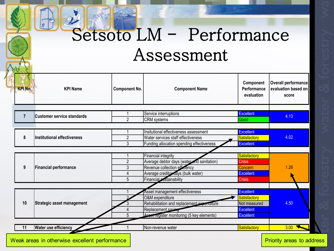### Setsoto LM - Performance Assessment

| <b>KPI Name</b>                  |                                                                                                       | <b>Component No.</b><br><b>Component Name</b>        |                                                                                                                                                                                                                                                                                                             | Overall performance<br>evaluation based on<br>score                                                                                                                                         |  |      |
|----------------------------------|-------------------------------------------------------------------------------------------------------|------------------------------------------------------|-------------------------------------------------------------------------------------------------------------------------------------------------------------------------------------------------------------------------------------------------------------------------------------------------------------|---------------------------------------------------------------------------------------------------------------------------------------------------------------------------------------------|--|------|
|                                  |                                                                                                       |                                                      |                                                                                                                                                                                                                                                                                                             |                                                                                                                                                                                             |  |      |
|                                  | $\overline{2}$                                                                                        |                                                      | Good                                                                                                                                                                                                                                                                                                        | 4.13                                                                                                                                                                                        |  |      |
|                                  |                                                                                                       |                                                      |                                                                                                                                                                                                                                                                                                             |                                                                                                                                                                                             |  |      |
| Institutional effectiveness<br>8 |                                                                                                       | $\overline{2}$<br>Water services staff effectiveness |                                                                                                                                                                                                                                                                                                             |                                                                                                                                                                                             |  | 4.02 |
|                                  |                                                                                                       |                                                      |                                                                                                                                                                                                                                                                                                             |                                                                                                                                                                                             |  |      |
|                                  |                                                                                                       |                                                      |                                                                                                                                                                                                                                                                                                             |                                                                                                                                                                                             |  |      |
|                                  |                                                                                                       | Financial integrity                                  | <b>Satisfactory</b>                                                                                                                                                                                                                                                                                         |                                                                                                                                                                                             |  |      |
| <b>Financial performance</b>     | $\overline{2}$                                                                                        | Average debtor days (water and sanitation)           | <b>Crisis</b>                                                                                                                                                                                                                                                                                               |                                                                                                                                                                                             |  |      |
|                                  | 3                                                                                                     | Revenue collection efficiency                        | Concern                                                                                                                                                                                                                                                                                                     | 1.26                                                                                                                                                                                        |  |      |
|                                  | 4                                                                                                     | Average creditor days (bulk water)                   | <b>Excellent</b>                                                                                                                                                                                                                                                                                            |                                                                                                                                                                                             |  |      |
|                                  |                                                                                                       | Financial sustainability                             | <b>Crisis</b>                                                                                                                                                                                                                                                                                               |                                                                                                                                                                                             |  |      |
|                                  |                                                                                                       |                                                      |                                                                                                                                                                                                                                                                                                             |                                                                                                                                                                                             |  |      |
|                                  |                                                                                                       |                                                      |                                                                                                                                                                                                                                                                                                             |                                                                                                                                                                                             |  |      |
|                                  |                                                                                                       | O&M expenditure                                      |                                                                                                                                                                                                                                                                                                             |                                                                                                                                                                                             |  |      |
|                                  |                                                                                                       |                                                      |                                                                                                                                                                                                                                                                                                             | 4.50                                                                                                                                                                                        |  |      |
|                                  |                                                                                                       |                                                      |                                                                                                                                                                                                                                                                                                             |                                                                                                                                                                                             |  |      |
|                                  | 5                                                                                                     |                                                      | <b>Excellent</b>                                                                                                                                                                                                                                                                                            |                                                                                                                                                                                             |  |      |
|                                  |                                                                                                       |                                                      | Satisfactory                                                                                                                                                                                                                                                                                                | 3.00                                                                                                                                                                                        |  |      |
|                                  | <b>Customer service standards</b><br><b>Strategic asset management</b><br><b>Water use efficiency</b> | 3<br>5                                               | Service interruptions<br><b>CRM</b> systems<br>Insitutional effectiveness assessment<br>Funding allocation spending effectiveness<br>Asset management effectiveness<br>Rehabilitation and replacement experimiture<br>Replacement saving<br>Asset register monitoring (5 key elements)<br>Non-revenue water | Performance<br>evaluation<br><b>Excellent</b><br><b>Excellent</b><br><b>Satisfactory</b><br><b>Excellent</b><br><b>Excellent</b><br><b>Satisfactory</b><br>Not measured<br><b>Excellent</b> |  |      |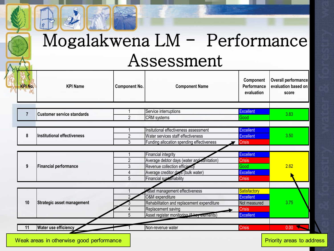#### Mogalakwena LM - Performance Assessment

| <b>KPI Name</b><br><b>Component No.</b><br><b>Component Name</b> |                                            | Component<br>Performance<br>evaluation                                                                                                                                                                                                                | Overall performance<br>evaluation based on<br>score                                                                    |  |
|------------------------------------------------------------------|--------------------------------------------|-------------------------------------------------------------------------------------------------------------------------------------------------------------------------------------------------------------------------------------------------------|------------------------------------------------------------------------------------------------------------------------|--|
|                                                                  |                                            |                                                                                                                                                                                                                                                       |                                                                                                                        |  |
| $\overline{2}$                                                   | CRM systems                                | Good                                                                                                                                                                                                                                                  | 3.83                                                                                                                   |  |
|                                                                  | Insitutional effectiveness assessment      | <b>Excellent</b>                                                                                                                                                                                                                                      |                                                                                                                        |  |
| $\overline{2}$                                                   | Water services staff effectiveness         | <b>Excellent</b>                                                                                                                                                                                                                                      | 3.50                                                                                                                   |  |
|                                                                  |                                            |                                                                                                                                                                                                                                                       |                                                                                                                        |  |
|                                                                  | Financial integrity                        | <b>Excellent</b>                                                                                                                                                                                                                                      |                                                                                                                        |  |
| 2                                                                |                                            |                                                                                                                                                                                                                                                       |                                                                                                                        |  |
|                                                                  |                                            |                                                                                                                                                                                                                                                       | 2.62                                                                                                                   |  |
|                                                                  |                                            |                                                                                                                                                                                                                                                       |                                                                                                                        |  |
|                                                                  |                                            |                                                                                                                                                                                                                                                       |                                                                                                                        |  |
|                                                                  |                                            |                                                                                                                                                                                                                                                       |                                                                                                                        |  |
|                                                                  | O&M expenditure                            | <b>Excellent</b>                                                                                                                                                                                                                                      |                                                                                                                        |  |
|                                                                  | Rehabilitation and replacement expenditure | Not measured                                                                                                                                                                                                                                          | 3.75                                                                                                                   |  |
|                                                                  | Replacement saving                         | <b>Crisis</b>                                                                                                                                                                                                                                         |                                                                                                                        |  |
| 5                                                                | Asset register monitoring (5 key clements) | <b>Excellent</b>                                                                                                                                                                                                                                      |                                                                                                                        |  |
|                                                                  | Non-revenue water                          | <b>Crisis</b>                                                                                                                                                                                                                                         | $\overline{0.00}$                                                                                                      |  |
|                                                                  | 3<br>3<br>4<br>5                           | Service interruptions<br>Funding allocation spending effectiveness<br>Average debtor days (water and sanitation)<br>Revenue collection efficiency<br>Average creditor days (bulk water)<br>Financial sustainability<br>Asset management effectiveness | <b>Excellent</b><br><b>Crisis</b><br><b>Crisis</b><br>Good<br><b>Excellent</b><br><b>Crisis</b><br><b>Satisfactory</b> |  |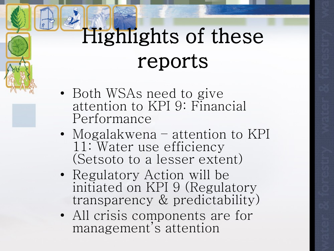# Highlights of these reports

- Both WSAs need to give attention to KPI 9: Financial Performance
- Mogalakwena attention to KPI 11: Water use efficiency (Setsoto to a lesser extent)
- Regulatory Action will be initiated on KPI 9 (Regulatory transparency & predictability)
- All crisis components are for management's attention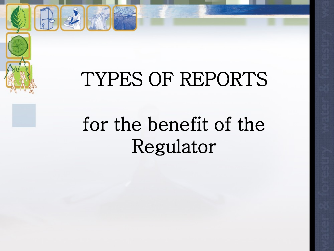### TYPES OF REPORTS

## for the benefit of the Regulator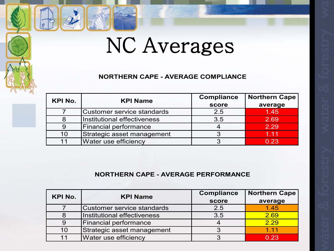## NC Averages

#### **NORTHERN CAPE - AVERAGE COMPLIANCE**

| KPI No. | <b>KPI Name</b>              | <b>Compliance</b> | <b>Northern Cape</b> |  |
|---------|------------------------------|-------------------|----------------------|--|
|         |                              | score             | average              |  |
|         | Customer service standards   | 2.5               | 1.45                 |  |
|         | Institutional effectiveness  | 3.5               | 2.69                 |  |
|         | <b>Financial performance</b> |                   | 2.29                 |  |
| 10      | Strategic asset management   |                   | 1.11                 |  |
|         | Water use efficiency         |                   | 0.23                 |  |

#### **NORTHERN CAPE - AVERAGE PERFORMANCE**

| <b>KPI No.</b> | <b>KPI Name</b>              | <b>Compliance</b> | <b>Northern Cape</b> |
|----------------|------------------------------|-------------------|----------------------|
|                |                              | score             | average              |
|                | Customer service standards   | 2.5               | 1.45                 |
|                | Institutional effectiveness  | 3.5               | 2.69                 |
|                | <b>Financial performance</b> |                   | 2.29                 |
| 10             | Strategic asset management   |                   | 1.11                 |
|                | Water use efficiency         |                   | 0.23                 |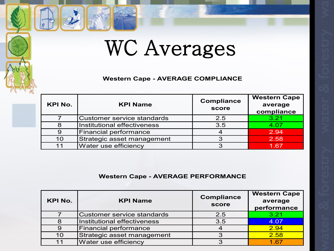### WC Averages

#### **Western Cape - AVERAGE COMPLIANCE**

| <b>KPI No.</b> | <b>KPI Name</b>                   | <b>Compliance</b><br>score | <b>Western Cape</b><br>average<br>compliance |  |
|----------------|-----------------------------------|----------------------------|----------------------------------------------|--|
|                | <b>Customer service standards</b> | 2.5                        | 3.21                                         |  |
| 8              | Institutional effectiveness       | 3.5                        | 4.07                                         |  |
|                | Financial performance             |                            | 2.94                                         |  |
| 10             | Strategic asset management        |                            | 2.58                                         |  |
|                | Water use efficiency              |                            | 1.67                                         |  |

#### **Western Cape - AVERAGE PERFORMANCE**

| <b>KPI No.</b> | <b>KPI Name</b>                   | <b>Compliance</b><br>score | <b>Western Cape</b><br>average<br>performance |
|----------------|-----------------------------------|----------------------------|-----------------------------------------------|
|                | <b>Customer service standards</b> | 2.5                        | 3.21                                          |
|                | Institutional effectiveness       | 3.5                        | 4.07                                          |
|                | Financial performance             |                            | 2.94                                          |
| 10             | Strategic asset management        |                            | 2.58                                          |
|                | Water use efficiency              |                            | 467                                           |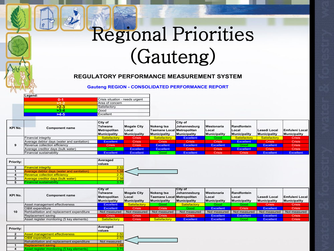## Regional Priorities (Gauteng)

#### **REGULATORY PERFORMANCE MEASUREMENT SYSTEM**

#### **Gauteng REGION - CONSOLIDATED PERFORMANCE REPORT**

| Legend: |                                 |
|---------|---------------------------------|
| 0-1     | Crisis situation - needs urgent |
|         | Area of concern                 |
| $>2-3$  | Satisfactory                    |
| $>3-4$  | Good                            |
| 54.5    | Excellent                       |

| KPI No. | <b>Component name</b>                      | City of<br>Tshwane<br>Metropolitan<br><b>Municipality</b> | <b>Mogale City</b><br>lLocal<br>Municipality | Nokeng tsa<br>Taemane Local Metropolitan<br>Municipality | <b>ICity of</b><br>Johannesburg<br><b>Municipality</b> | <b>Westonaria</b><br><b>ILocal</b><br>Municipality | <b>Randfontein</b><br>lLocal<br>Municipality | Lesedi Local<br><b>Municipality</b> | lEmfuleni Local I<br>Municipality |
|---------|--------------------------------------------|-----------------------------------------------------------|----------------------------------------------|----------------------------------------------------------|--------------------------------------------------------|----------------------------------------------------|----------------------------------------------|-------------------------------------|-----------------------------------|
|         | Financial integrity                        | Satisfactory                                              | Crisis <sup>1</sup>                          | <b>Satisfactory</b>                                      | Excellent                                              | Good                                               | Satisfactory                                 | Satisfactory                        | <b>Crisis</b>                     |
|         | Average debtor days (water and sanitation) | <b>Excellent</b>                                          | <b>Crisis</b>                                | <b>Crisis</b>                                            | <b>Crisis</b>                                          | <b>Crisis</b>                                      | Excellent                                    | <b>Crisis</b>                       | <b>Crisis</b>                     |
|         | Revenue collection efficiency              | Crisis                                                    | <b>Crisis</b>                                | Excellent                                                | <b>Excellent</b>                                       | <b>Excellent</b>                                   | Good                                         | <b>Excellent</b>                    | <b>Crisis</b>                     |
|         | Average creditor days (bulk water)         | Good                                                      | <b>Excellent</b>                             | Excellent                                                | <b>Crisis</b>                                          | <b>Crisis</b>                                      | Excellent                                    | <b>Crisis</b>                       | <b>Crisis</b>                     |
|         | Financial sustainability                   | <b>Excellent</b>                                          | <b>Excellent</b>                             | Good                                                     | <b>Excellent</b>                                       | <b>Crisis</b>                                      | Crisis <sup>1</sup>                          | Excellent                           | <b>Excellent</b>                  |

| <b>Priority:</b> |                                            | Averaged<br><b>values</b> |  |
|------------------|--------------------------------------------|---------------------------|--|
|                  | <b>Financial integrity</b>                 | 2.32                      |  |
|                  | Average debtor days (water and sanitation) | 1.38                      |  |
|                  | <b>Revenue collection efficiency</b>       | 2.70                      |  |
|                  | <b>Average creditor days (bulk water)</b>  | 2.38                      |  |
|                  | <b>Financial sustainability</b>            | 3.75                      |  |

| KPI No. | <b>Component name</b>                      | <b>City of</b><br>lTshwane<br><b>IMetropolitan</b><br><b>Municipality</b> | Mogale City<br><b>Local</b><br>Municipality | Nokeng tsa<br>Taemane Local Metropolitan<br><b>Municipality</b> | ICity of<br>Johannesburg<br><b>Municipality</b> | <b>IWestonaria</b><br><b>ILocal</b><br>Municipality | Randfontein<br><b>ILocal</b><br><b>Municipality</b> | Lesedi Local<br>Municipality | <b>IEmfuleni Local</b><br>Municipality |
|---------|--------------------------------------------|---------------------------------------------------------------------------|---------------------------------------------|-----------------------------------------------------------------|-------------------------------------------------|-----------------------------------------------------|-----------------------------------------------------|------------------------------|----------------------------------------|
| 10      | Asset management effectiveness             | Excellent                                                                 | Satisfactory                                | Good                                                            | Satisfactory                                    | Good                                                | Good                                                | <b>Crisis</b>                | <b>Crisis</b>                          |
|         | <b>O&amp;M</b> expenditure                 | Excellent                                                                 | <b>Crisis</b>                               | <b>Crisis</b>                                                   | Good                                            | Excellent                                           | <b>Crisis</b>                                       | <b>Excellent</b>             | <b>Crisis</b>                          |
|         | Rehbailitation and replacement expenditure | Not measured                                                              | Not measured                                | Not measured                                                    | Not measured                                    | Not measured                                        | Not measured                                        | Not measured                 | Not measured                           |
|         | Replacement saving                         | Crisis                                                                    | <b>Crisis</b>                               | <b>Crisis</b>                                                   | Crisis                                          | <b>Excellent</b>                                    | Excellent                                           | <b>Excellent</b>             | <b>Crisis</b>                          |
|         | Asset register monitoring (5 key elements) | Satisfactory                                                              | <b>Crisis</b>                               | Satisfactory                                                    | <b>Excellent</b>                                | <b>Excellent</b>                                    | Good                                                | <b>Excellent</b>             | <b>Crisis</b>                          |

| <b>Priority:</b> |                                            | Averaged<br><b>values</b> |  |
|------------------|--------------------------------------------|---------------------------|--|
|                  | <b>Asset management effectiveness</b>      | 2.50                      |  |
|                  | <b>O&amp;M</b> expenditure                 | 2.50                      |  |
|                  | Rehabilitation and replacement expenditure | Not measured              |  |
|                  | <b>Replacement saving</b>                  | 1.88                      |  |
|                  | Asset register monitoring (5 key elements) | 3.75                      |  |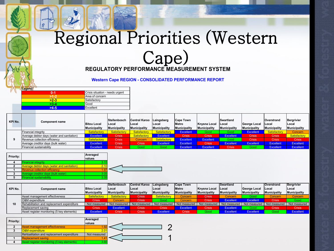#### Regional Priorities (Western Cape)

#### **REGULATORY PERFORMANCE MEASUREMENT SYSTEM**

**Western Cape REGION - CONSOLIDATED PERFORMANCE REPORT**

| Legend: |                                 |
|---------|---------------------------------|
| ი. 1    | Crisis situation - needs urgent |
|         | Area of concern                 |
| $>2-3$  | Satisfactory                    |
| $>3-4$  | Good                            |
| >4.5    | Excellent                       |

| KPI No. | <b>Component name</b>                      | <b>Bitou Local</b><br><b>Municipality</b> | Stellenbosch<br>Local<br><b>Municipality</b> | Central Karoo Laingsberg<br>l Local<br>Municipality | Local<br>Municipality | <b>Cape Town</b><br>Metro<br><b>Municipality</b> | Knysna Local<br><b>Municipality</b> | <b>Swartland</b><br>Local<br>Municipality | <b>IGeorge Local</b><br><b>Municipality</b> | Overstrand<br><b>ILocal</b><br><b>Municipality</b> | Bergrivier<br>Local<br>Municipality |
|---------|--------------------------------------------|-------------------------------------------|----------------------------------------------|-----------------------------------------------------|-----------------------|--------------------------------------------------|-------------------------------------|-------------------------------------------|---------------------------------------------|----------------------------------------------------|-------------------------------------|
|         | Financial integrity                        | Satisfactory                              | Satisfactory                                 | Satisfactory                                        | Satisfactory          | <b>Excellent</b>                                 | Good                                | Good :                                    | <b>Excellent</b>                            | Satisfactory                                       | Concern                             |
|         | Average debtor days (water and sanitation) | <b>Excellent</b>                          | <b>Crisis</b>                                | Satisfactory                                        | <b>Excellent</b>      | <b>Crisis</b>                                    | <b>Crisis</b>                       | <b>Excellent</b>                          | <b>Crisis</b>                               | <b>Crisis</b>                                      | Satisfactory                        |
|         | Revenue collection efficiency              | Satisfactory                              | <b>Crisis</b>                                | Concern                                             | Satisfactory          | Excellent                                        | <b>Excellent</b>                    | Good                                      | <b>Crisis</b>                               | <b>Crisis</b>                                      | <b>Crisis</b>                       |
|         | Average creditor days (bulk water)         | <b>Excellent</b>                          | <b>Crisis</b>                                | <b>Crisis</b>                                       | Excellent             | Excellent                                        | <b>Crisis</b>                       | <b>Excellent</b>                          | <b>Excellent</b>                            | Excellent                                          | Excellent                           |
|         | Financial sustainability                   | <b>Excellent</b>                          | <b>Crisis</b>                                | Good                                                | Good                  | Excellent                                        | <b>Excellent</b>                    | <b>Crisis</b>                             | Good                                        | Excellent                                          | Excellent                           |

| Priority: |                                                   | Averaged<br>values |  |
|-----------|---------------------------------------------------|--------------------|--|
|           | <b>Financial integrity</b>                        | 3.15               |  |
|           | <b>Average debtor days (water and sanitation)</b> | 2.10               |  |
|           | <b>Revenue collection efficiency</b>              | 1.97               |  |
|           | Average creditor days (bulk water)                | 3.05               |  |
|           | <b>Financial sustainability</b>                   | 3.35               |  |

|         |                                            |                     | Stellenbosch        | <b>Central Karoo</b> | Laingsberg          | <b>Cape Town</b>    |                     | <b>Swartland</b> |                      | Overstrand    | Bergrivier          |
|---------|--------------------------------------------|---------------------|---------------------|----------------------|---------------------|---------------------|---------------------|------------------|----------------------|---------------|---------------------|
| KPI No. | <b>Component name</b>                      | <b>Bitou Local</b>  | Local               | <b>ILocal</b>        | Local               | Metro               | Knysna Local        | lLocal           | <b>IGeorge Local</b> | <b>Local</b>  | <b>ILocal</b>       |
|         |                                            | <b>Municipality</b> | <b>Municipality</b> | <b>Municipality</b>  | <b>Municipality</b> | <b>Municipality</b> | <b>Municipality</b> | Municipality     | Municipality         | Municipality  | <b>Municipality</b> |
| 10      | Asset management effectiveness             | Satisfactory        | Satisfactory        | <b>Crisis</b>        | Satisfactory        | Concern             | <b>Crisis</b>       | Concern          | Good                 | Concern       | Concern             |
|         | O&M expenditure                            | <b>Crisis</b>       | Concern             | Crisis               | Good                | Concern             | <b>Crisis</b>       | <b>Excellent</b> | <b>Excellent</b>     | <b>Crisis</b> | Good                |
|         | Rehabilitation and replacement expenditure | Not measured        | Not measured        | Not measured         | Not measured        | Not measured        | Not measured        | Not measured     | Not measured         | Not measured  | Not measured        |
|         | Replacement saving                         | <b>Crisis</b>       | Excellent           | Crisis               | <b>Crisis</b>       | Excellent           | <b>Crisis</b>       | <b>Excellent</b> | Good :               | <b>Crisis</b> | Crisis              |
|         | Asset register monitoring (5 key elements) | <b>Excellent</b>    | <b>Crisis</b>       | <b>Crisis</b>        | Excellent           | <b>Crisis</b>       | Good                | <b>Excellent</b> | <b>Excellent</b>     | Good          | Excellent           |

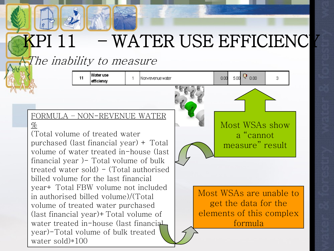# – WATER USE EFFICIENCI

Non-revenue water

The inability to measure

11

Water use

efficiency

#### FORMULA – NON-REVENUE WATER  $\%$

(Total volume of treated water purchased (last financial year) + Total volume of water treated in-house (last financial year )- Total volume of bulk treated water sold) - (Total authorised billed volume for the last financial year+ Total FBW volume not included in authorised billed volume)/(Total volume of treated water purchased (last financial year)+Total volume of water treated in-house (last financial year)-Total volume of bulk treated water sold)\*100

Most WSAs show a "cannot measure" result

 $5.00^{15}$  0.00

3.

0.00

Most WSAs are unable to get the data for the elements of this complex formula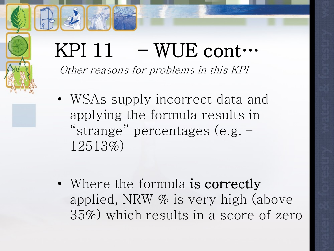#### KPI  $11$  – WUE cont… Other reasons for problems in this KPI

- WSAs supply incorrect data and applying the formula results in "strange" percentages (e.g. – 12513%)
- Where the formula is correctly applied, NRW % is very high (above 35%) which results in a score of zero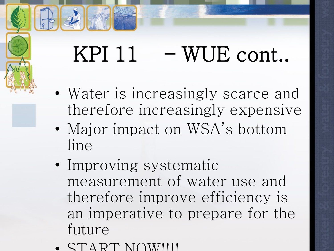## KPI  $11$  – WUE cont..

- Water is increasingly scarce and therefore increasingly expensive
- Major impact on WSA's bottom line
- Improving systematic measurement of water use and therefore improve efficiency is an imperative to prepare for the future
- $\Delta$  RT NOW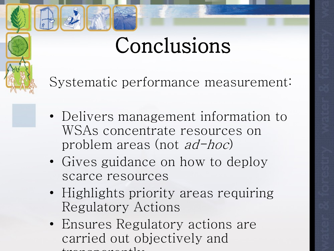## Conclusions

Systematic performance measurement:

- Delivers management information to WSAs concentrate resources on problem areas (not ad-hoc)
- Gives guidance on how to deploy scarce resources
- Highlights priority areas requiring Regulatory Actions
- Ensures Regulatory actions are carried out objectively and  $t_{\rm max}$  transparently  $t_{\rm max}$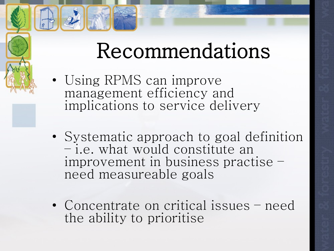## Recommendations

- Using RPMS can improve management efficiency and implications to service delivery
- Systematic approach to goal definition – i.e. what would constitute an improvement in business practise – need measureable goals
- Concentrate on critical issues need the ability to prioritise